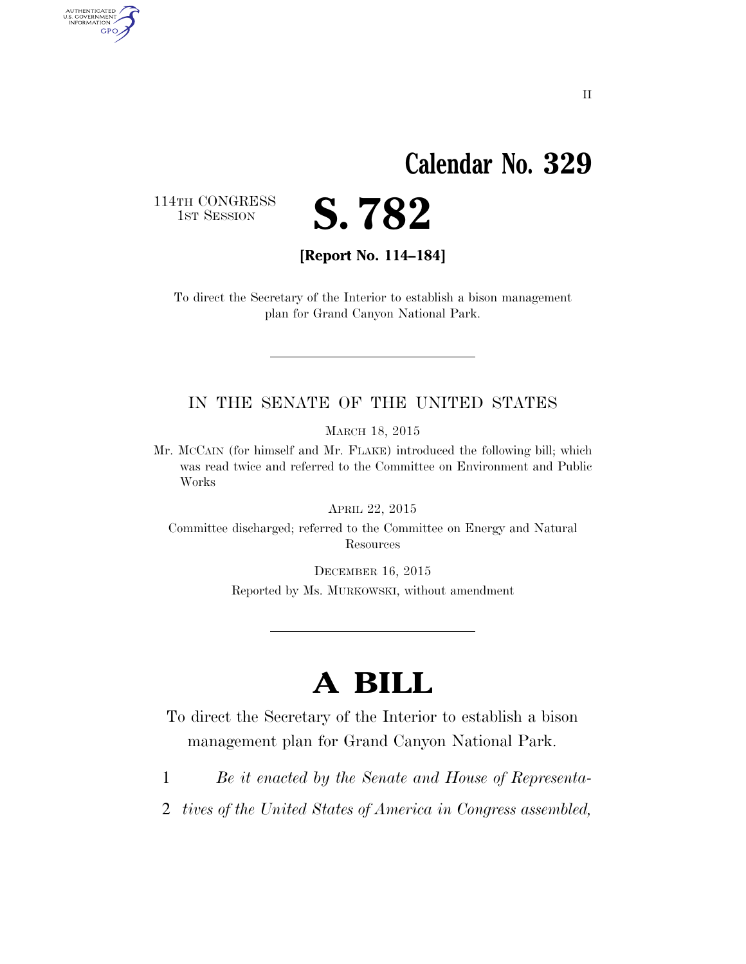## **Calendar No. 329**

114TH CONGRESS<br>1st Session

AUTHENTICATED<br>U.S. GOVERNMENT<br>INFORMATION GPO



**[Report No. 114–184]** 

To direct the Secretary of the Interior to establish a bison management plan for Grand Canyon National Park.

#### IN THE SENATE OF THE UNITED STATES

MARCH 18, 2015

Mr. MCCAIN (for himself and Mr. FLAKE) introduced the following bill; which was read twice and referred to the Committee on Environment and Public Works

APRIL 22, 2015

Committee discharged; referred to the Committee on Energy and Natural **Resources** 

> DECEMBER 16, 2015 Reported by Ms. MURKOWSKI, without amendment

## **A BILL**

To direct the Secretary of the Interior to establish a bison management plan for Grand Canyon National Park.

- 1 *Be it enacted by the Senate and House of Representa-*
- 2 *tives of the United States of America in Congress assembled,*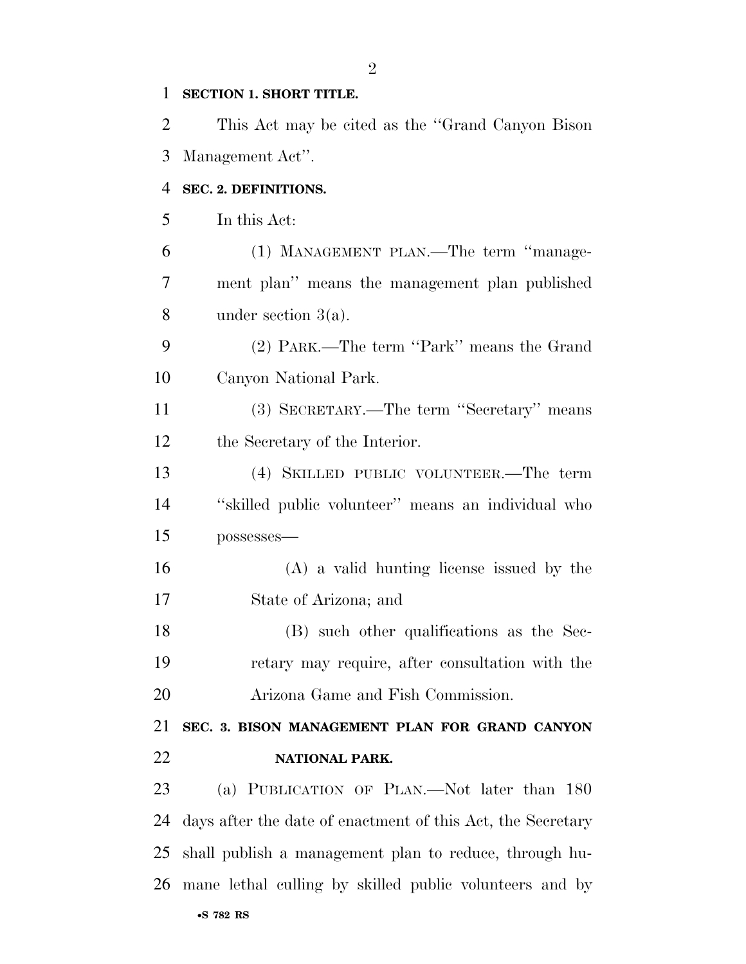#### **SECTION 1. SHORT TITLE.**

 This Act may be cited as the ''Grand Canyon Bison Management Act''.

#### **SEC. 2. DEFINITIONS.**

In this Act:

 (1) MANAGEMENT PLAN.—The term ''manage- ment plan'' means the management plan published under section 3(a).

 (2) PARK.—The term ''Park'' means the Grand Canyon National Park.

 (3) SECRETARY.—The term ''Secretary'' means the Secretary of the Interior.

 (4) SKILLED PUBLIC VOLUNTEER.—The term ''skilled public volunteer'' means an individual who possesses—

 (A) a valid hunting license issued by the State of Arizona; and

 (B) such other qualifications as the Sec- retary may require, after consultation with the Arizona Game and Fish Commission.

### **SEC. 3. BISON MANAGEMENT PLAN FOR GRAND CANYON NATIONAL PARK.**

 (a) PUBLICATION OF PLAN.—Not later than 180 days after the date of enactment of this Act, the Secretary shall publish a management plan to reduce, through hu-mane lethal culling by skilled public volunteers and by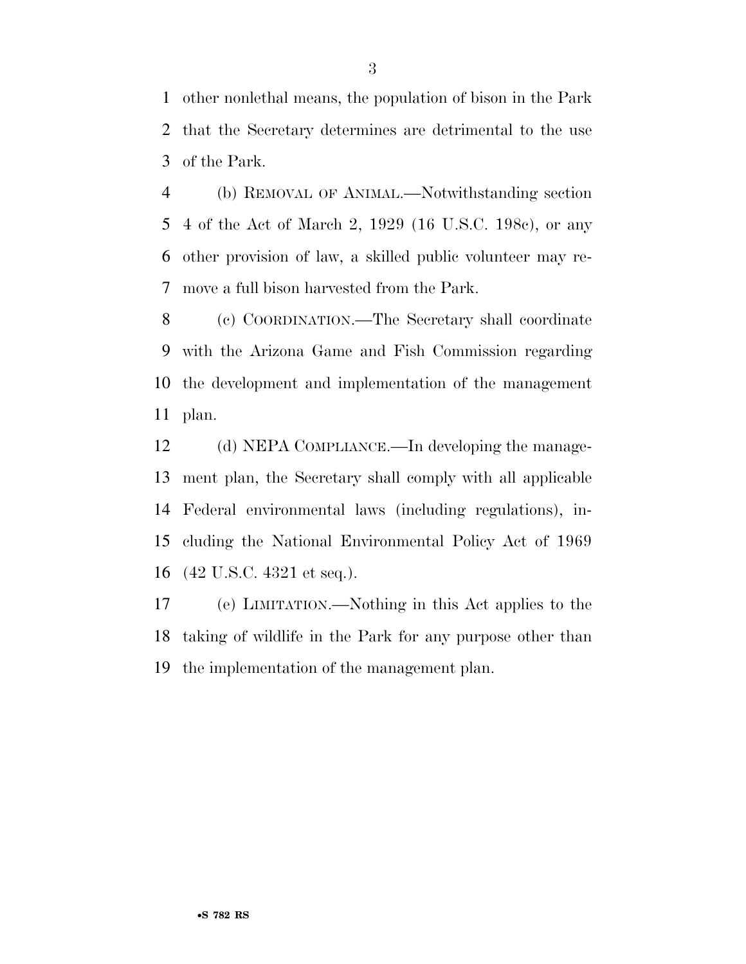other nonlethal means, the population of bison in the Park that the Secretary determines are detrimental to the use of the Park.

 (b) REMOVAL OF ANIMAL.—Notwithstanding section 4 of the Act of March 2, 1929 (16 U.S.C. 198c), or any other provision of law, a skilled public volunteer may re-move a full bison harvested from the Park.

 (c) COORDINATION.—The Secretary shall coordinate with the Arizona Game and Fish Commission regarding the development and implementation of the management plan.

 (d) NEPA COMPLIANCE.—In developing the manage- ment plan, the Secretary shall comply with all applicable Federal environmental laws (including regulations), in- cluding the National Environmental Policy Act of 1969 (42 U.S.C. 4321 et seq.).

 (e) LIMITATION.—Nothing in this Act applies to the taking of wildlife in the Park for any purpose other than the implementation of the management plan.